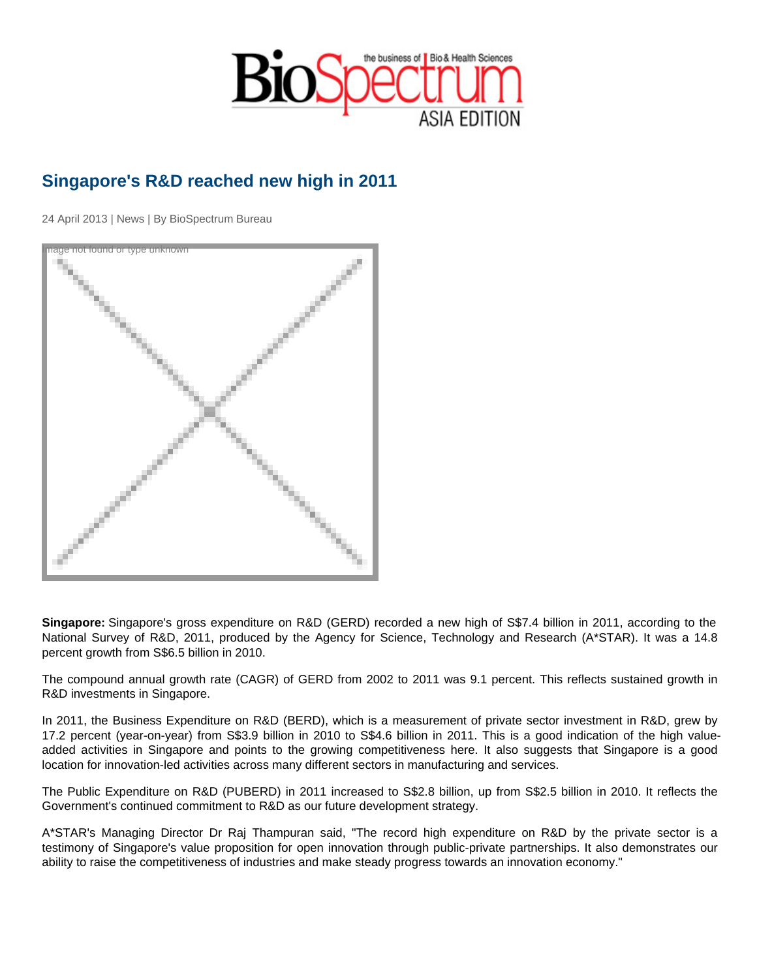## Singapore's R&D reached new high in 2011

24 April 2013 | News | By BioSpectrum Bureau

Image not found or type unknown

Singapore: Singapore's gross expenditure on R&D (GERD) recorded a new high of S\$7.4 billion in 2011, according to the National Survey of R&D, 2011, produced by the Agency for Science, Technology and Research (A\*STAR). It was a 14.8 percent growth from S\$6.5 billion in 2010.

The compound annual growth rate (CAGR) of GERD from 2002 to 2011 was 9.1 percent. This reflects sustained growth in R&D investments in Singapore.

In 2011, the Business Expenditure on R&D (BERD), which is a measurement of private sector investment in R&D, grew by 17.2 percent (year-on-year) from S\$3.9 billion in 2010 to S\$4.6 billion in 2011. This is a good indication of the high valueadded activities in Singapore and points to the growing competitiveness here. It also suggests that Singapore is a good location for innovation-led activities across many different sectors in manufacturing and services.

The Public Expenditure on R&D (PUBERD) in 2011 increased to S\$2.8 billion, up from S\$2.5 billion in 2010. It reflects the Government's continued commitment to R&D as our future development strategy.

A\*STAR's Managing Director Dr Raj Thampuran said, "The record high expenditure on R&D by the private sector is a testimony of Singapore's value proposition for open innovation through public-private partnerships. It also demonstrates our ability to raise the competitiveness of industries and make steady progress towards an innovation economy."